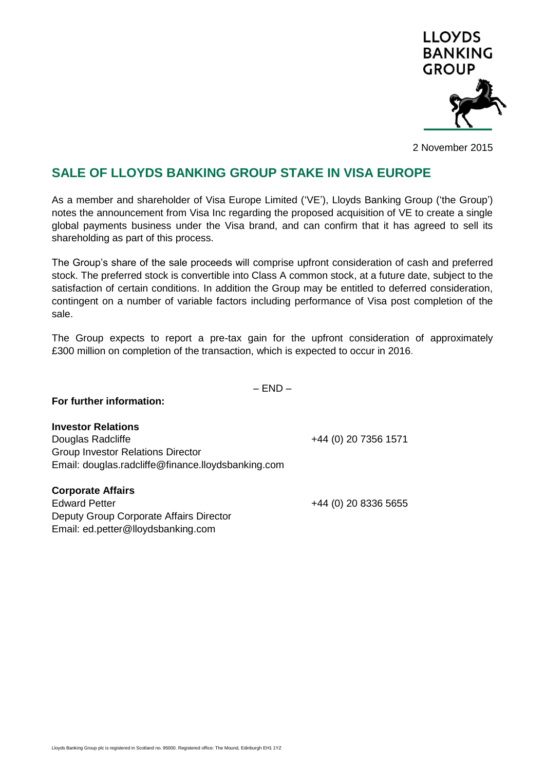

2 November 2015

## **SALE OF LLOYDS BANKING GROUP STAKE IN VISA EUROPE**

As a member and shareholder of Visa Europe Limited ('VE'), Lloyds Banking Group ('the Group') notes the announcement from Visa Inc regarding the proposed acquisition of VE to create a single global payments business under the Visa brand, and can confirm that it has agreed to sell its shareholding as part of this process.

The Group's share of the sale proceeds will comprise upfront consideration of cash and preferred stock. The preferred stock is convertible into Class A common stock, at a future date, subject to the satisfaction of certain conditions. In addition the Group may be entitled to deferred consideration, contingent on a number of variable factors including performance of Visa post completion of the sale.

The Group expects to report a pre-tax gain for the upfront consideration of approximately £300 million on completion of the transaction, which is expected to occur in 2016.

 $-$  FND  $-$ 

## **For further information:**

**Investor Relations** Douglas Radcliffe +44 (0) 20 7356 1571 Group Investor Relations Director Email: douglas.radcliffe@finance.lloydsbanking.com

**Corporate Affairs**

Edward Petter +44 (0) 20 8336 5655 Deputy Group Corporate Affairs Director Email: [ed.petter@lloydsbanking.com](mailto:emile.abu-shakra@lloydstsb.co.uk)